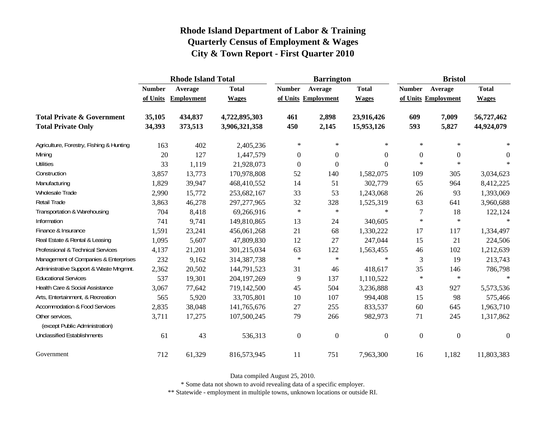|                                                   | <b>Rhode Island Total</b> |                   |               |                  | <b>Barrington</b>   |                  | <b>Bristol</b> |                     |                  |
|---------------------------------------------------|---------------------------|-------------------|---------------|------------------|---------------------|------------------|----------------|---------------------|------------------|
|                                                   | <b>Number</b>             | Average           | <b>Total</b>  | <b>Number</b>    | Average             | <b>Total</b>     | <b>Number</b>  | Average             | <b>Total</b>     |
|                                                   | of Units                  | <b>Employment</b> | <b>Wages</b>  |                  | of Units Employment | <b>Wages</b>     |                | of Units Employment | <b>Wages</b>     |
| <b>Total Private &amp; Government</b>             | 35,105                    | 434,837           | 4,722,895,303 | 461              | 2,898               | 23,916,426       | 609            | 7,009               | 56,727,462       |
| <b>Total Private Only</b>                         | 34,393                    | 373,513           | 3,906,321,358 | 450              | 2,145               | 15,953,126       | 593            | 5,827               | 44,924,079       |
| Agriculture, Forestry, Fishing & Hunting          | 163                       | 402               | 2,405,236     | $\ast$           | $\ast$              | $\ast$           | $\ast$         | $\ast$              | ∗                |
| Mining                                            | 20                        | 127               | 1,447,579     | 0                | $\boldsymbol{0}$    | $\Omega$         | $\overline{0}$ | $\boldsymbol{0}$    | $\Omega$         |
| <b>Utilities</b>                                  | 33                        | 1,119             | 21,928,073    | $\boldsymbol{0}$ | $\boldsymbol{0}$    | $\theta$         | $\ast$         | $\ast$              | $\ast$           |
| Construction                                      | 3,857                     | 13,773            | 170,978,808   | 52               | 140                 | 1,582,075        | 109            | 305                 | 3,034,623        |
| Manufacturing                                     | 1,829                     | 39,947            | 468,410,552   | 14               | 51                  | 302,779          | 65             | 964                 | 8,412,225        |
| <b>Wholesale Trade</b>                            | 2,990                     | 15,772            | 253,682,167   | 33               | 53                  | 1,243,068        | 26             | 93                  | 1,393,069        |
| Retail Trade                                      | 3,863                     | 46,278            | 297, 277, 965 | 32               | 328                 | 1,525,319        | 63             | 641                 | 3,960,688        |
| Transportation & Warehousing                      | 704                       | 8,418             | 69,266,916    | $\ast$           | $\ast$              | $\star$          | $\tau$         | 18                  | 122,124          |
| Information                                       | 741                       | 9,741             | 149,810,865   | 13               | 24                  | 340,605          | $\ast$         | $\ast$              | $\ast$           |
| Finance & Insurance                               | 1,591                     | 23,241            | 456,061,268   | 21               | 68                  | 1,330,222        | 17             | 117                 | 1,334,497        |
| Real Estate & Rental & Leasing                    | 1,095                     | 5,607             | 47,809,830    | 12               | 27                  | 247,044          | 15             | 21                  | 224,506          |
| Professional & Technical Services                 | 4,137                     | 21,201            | 301,215,034   | 63               | 122                 | 1,563,455        | 46             | 102                 | 1,212,639        |
| Management of Companies & Enterprises             | 232                       | 9,162             | 314, 387, 738 | $\ast$           | $\ast$              | $\ast$           | 3              | 19                  | 213,743          |
| Administrative Support & Waste Mngmnt.            | 2,362                     | 20,502            | 144,791,523   | 31               | 46                  | 418,617          | 35             | 146                 | 786,798          |
| <b>Educational Services</b>                       | 537                       | 19,301            | 204, 197, 269 | 9                | 137                 | 1,110,522        | $\ast$         | $\ast$              | $\star$          |
| Health Care & Social Assistance                   | 3,067                     | 77,642            | 719,142,500   | 45               | 504                 | 3,236,888        | 43             | 927                 | 5,573,536        |
| Arts, Entertainment, & Recreation                 | 565                       | 5,920             | 33,705,801    | 10               | 107                 | 994,408          | 15             | 98                  | 575,466          |
| <b>Accommodation &amp; Food Services</b>          | 2,835                     | 38,048            | 141,765,676   | 27               | 255                 | 833,537          | 60             | 645                 | 1,963,710        |
| Other services,<br>(except Public Administration) | 3,711                     | 17,275            | 107,500,245   | 79               | 266                 | 982,973          | 71             | 245                 | 1,317,862        |
| <b>Unclassified Establishments</b>                | 61                        | 43                | 536,313       | $\boldsymbol{0}$ | $\boldsymbol{0}$    | $\boldsymbol{0}$ | $\overline{0}$ | $\overline{0}$      | $\boldsymbol{0}$ |
| Government                                        | 712                       | 61,329            | 816,573,945   | 11               | 751                 | 7,963,300        | 16             | 1,182               | 11,803,383       |

Data compiled August 25, 2010.

\* Some data not shown to avoid revealing data of a specific employer.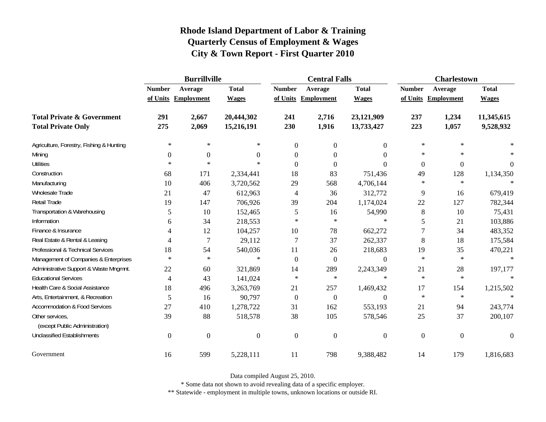|                                                   | <b>Burrillville</b> |                     |                |                  | <b>Central Falls</b> |                  | <b>Charlestown</b> |                     |              |
|---------------------------------------------------|---------------------|---------------------|----------------|------------------|----------------------|------------------|--------------------|---------------------|--------------|
|                                                   | <b>Number</b>       | Average             | <b>Total</b>   | <b>Number</b>    | Average              | <b>Total</b>     | <b>Number</b>      | Average             | <b>Total</b> |
|                                                   |                     | of Units Employment | <b>Wages</b>   |                  | of Units Employment  | <b>Wages</b>     |                    | of Units Employment | <b>Wages</b> |
| <b>Total Private &amp; Government</b>             | 291                 | 2,667               | 20,444,302     | 241              | 2,716                | 23,121,909       | 237                | 1,234               | 11,345,615   |
| <b>Total Private Only</b>                         | 275                 | 2,069               | 15,216,191     | 230              | 1,916                | 13,733,427       | 223                | 1,057               | 9,528,932    |
| Agriculture, Forestry, Fishing & Hunting          | $\ast$              | ∗                   | $\ast$         | $\overline{0}$   | $\overline{0}$       | $\overline{0}$   | $\ast$             | $\ast$              |              |
| Mining                                            | $\Omega$            | $\boldsymbol{0}$    | $\overline{0}$ | $\overline{0}$   | $\overline{0}$       | $\Omega$         | $\ast$             | $\ast$              |              |
| <b>Utilities</b>                                  | $\ast$              | $\ast$              | $\ast$         | $\Omega$         | $\theta$             | $\Omega$         | $\boldsymbol{0}$   | $\boldsymbol{0}$    | $\theta$     |
| Construction                                      | 68                  | 171                 | 2,334,441      | 18               | 83                   | 751,436          | 49                 | 128                 | 1,134,350    |
| Manufacturing                                     | 10                  | 406                 | 3,720,562      | 29               | 568                  | 4,706,144        | $\ast$             | $\ast$              |              |
| Wholesale Trade                                   | 21                  | 47                  | 612,963        | 4                | 36                   | 312,772          | 9                  | 16                  | 679,419      |
| Retail Trade                                      | 19                  | 147                 | 706,926        | 39               | 204                  | 1,174,024        | 22                 | 127                 | 782,344      |
| Transportation & Warehousing                      | 5                   | 10                  | 152,465        | 5                | 16                   | 54,990           | $\,8\,$            | 10                  | 75,431       |
| Information                                       | 6                   | 34                  | 218,553        | $\ast$           | $\ast$               | $\ast$           | 5                  | 21                  | 103,886      |
| Finance & Insurance                               | 4                   | 12                  | 104,257        | 10               | 78                   | 662,272          | $\overline{7}$     | 34                  | 483,352      |
| Real Estate & Rental & Leasing                    | 4                   | $\overline{7}$      | 29,112         | $\overline{7}$   | 37                   | 262,337          | 8                  | 18                  | 175,584      |
| Professional & Technical Services                 | 18                  | 54                  | 540,036        | 11               | 26                   | 218,683          | 19                 | 35                  | 470,221      |
| Management of Companies & Enterprises             | $\ast$              | $\ast$              | $\ast$         | $\Omega$         | $\boldsymbol{0}$     | $\overline{0}$   | $\ast$             | $\ast$              | $\ast$       |
| Administrative Support & Waste Mngmnt.            | 22                  | 60                  | 321,869        | 14               | 289                  | 2,243,349        | 21                 | 28                  | 197,177      |
| <b>Educational Services</b>                       | $\overline{4}$      | 43                  | 141,024        | $\ast$           | $\ast$               | $\ast$           | $\ast$             | $\ast$              |              |
| Health Care & Social Assistance                   | 18                  | 496                 | 3,263,769      | 21               | 257                  | 1,469,432        | 17                 | 154                 | 1,215,502    |
| Arts, Entertainment, & Recreation                 | 5                   | 16                  | 90,797         | $\boldsymbol{0}$ | $\overline{0}$       | $\boldsymbol{0}$ | $\ast$             | $\ast$              | $\star$      |
| <b>Accommodation &amp; Food Services</b>          | 27                  | 410                 | 1,278,722      | 31               | 162                  | 553,193          | 21                 | 94                  | 243,774      |
| Other services,<br>(except Public Administration) | 39                  | 88                  | 518,578        | 38               | 105                  | 578,546          | 25                 | 37                  | 200,107      |
| <b>Unclassified Establishments</b>                | $\mathbf{0}$        | $\boldsymbol{0}$    | $\overline{0}$ | $\mathbf{0}$     | $\boldsymbol{0}$     | $\mathbf{0}$     | $\overline{0}$     | $\boldsymbol{0}$    | $\theta$     |
| Government                                        | 16                  | 599                 | 5,228,111      | 11               | 798                  | 9,388,482        | 14                 | 179                 | 1,816,683    |

Data compiled August 25, 2010.

\* Some data not shown to avoid revealing data of a specific employer.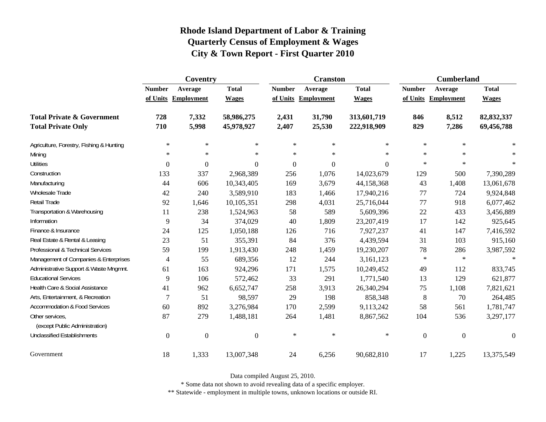|                                                   | Coventry         |                     |                  |                  | <b>Cranston</b>     |              | <b>Cumberland</b> |                     |                  |
|---------------------------------------------------|------------------|---------------------|------------------|------------------|---------------------|--------------|-------------------|---------------------|------------------|
|                                                   | <b>Number</b>    | Average             | <b>Total</b>     | <b>Number</b>    | Average             | <b>Total</b> | <b>Number</b>     | Average             | <b>Total</b>     |
|                                                   |                  | of Units Employment | <b>Wages</b>     |                  | of Units Employment | <b>Wages</b> |                   | of Units Employment | <b>Wages</b>     |
| <b>Total Private &amp; Government</b>             | 728              | 7,332               | 58,986,275       | 2,431            | 31,790              | 313,601,719  | 846               | 8,512               | 82,832,337       |
| <b>Total Private Only</b>                         | 710              | 5,998               | 45,978,927       | 2,407            | 25,530              | 222,918,909  | 829               | 7,286               | 69,456,788       |
| Agriculture, Forestry, Fishing & Hunting          | $\ast$           | $\ast$              | $\ast$           | $\ast$           | $\ast$              | $\ast$       | $\ast$            | $\star$             |                  |
| Mining                                            | $\ast$           | $\ast$              | $\ast$           | $\ast$           | $\ast$              | $\ast$       | $\ast$            | $\ast$              | $\ast$           |
| <b>Utilities</b>                                  | $\mathbf{0}$     | $\boldsymbol{0}$    | $\Omega$         | $\boldsymbol{0}$ | $\overline{0}$      | $\theta$     | $\ast$            | $\ast$              | $\ast$           |
| Construction                                      | 133              | 337                 | 2,968,389        | 256              | 1,076               | 14,023,679   | 129               | 500                 | 7,390,289        |
| Manufacturing                                     | 44               | 606                 | 10,343,405       | 169              | 3,679               | 44,158,368   | 43                | 1,408               | 13,061,678       |
| <b>Wholesale Trade</b>                            | 42               | 240                 | 3,589,910        | 183              | 1,466               | 17,940,216   | 77                | 724                 | 9,924,848        |
| Retail Trade                                      | 92               | 1,646               | 10,105,351       | 298              | 4,031               | 25,716,044   | 77                | 918                 | 6,077,462        |
| Transportation & Warehousing                      | 11               | 238                 | 1,524,963        | 58               | 589                 | 5,609,396    | 22                | 433                 | 3,456,889        |
| Information                                       | 9                | 34                  | 374,029          | 40               | 1,809               | 23, 207, 419 | 17                | 142                 | 925,645          |
| Finance & Insurance                               | 24               | 125                 | 1,050,188        | 126              | 716                 | 7,927,237    | 41                | 147                 | 7,416,592        |
| Real Estate & Rental & Leasing                    | 23               | 51                  | 355,391          | 84               | 376                 | 4,439,594    | 31                | 103                 | 915,160          |
| Professional & Technical Services                 | 59               | 199                 | 1,913,430        | 248              | 1,459               | 19,230,207   | 78                | 286                 | 3,987,592        |
| Management of Companies & Enterprises             | $\overline{4}$   | 55                  | 689,356          | 12               | 244                 | 3,161,123    | $\ast$            | $\ast$              | $\ast$           |
| Administrative Support & Waste Mngmnt.            | 61               | 163                 | 924,296          | 171              | 1,575               | 10,249,452   | 49                | 112                 | 833,745          |
| <b>Educational Services</b>                       | 9                | 106                 | 572,462          | 33               | 291                 | 1,771,540    | 13                | 129                 | 621,877          |
| Health Care & Social Assistance                   | 41               | 962                 | 6,652,747        | 258              | 3,913               | 26,340,294   | 75                | 1,108               | 7,821,621        |
| Arts, Entertainment, & Recreation                 | $\overline{7}$   | 51                  | 98,597           | 29               | 198                 | 858,348      | $\,8\,$           | 70                  | 264,485          |
| <b>Accommodation &amp; Food Services</b>          | 60               | 892                 | 3,276,984        | 170              | 2,599               | 9,113,242    | 58                | 561                 | 1,781,747        |
| Other services,<br>(except Public Administration) | 87               | 279                 | 1,488,181        | 264              | 1,481               | 8,867,562    | 104               | 536                 | 3,297,177        |
| <b>Unclassified Establishments</b>                | $\boldsymbol{0}$ | $\boldsymbol{0}$    | $\boldsymbol{0}$ | $\ast$           | $\ast$              | $\ast$       | $\boldsymbol{0}$  | $\boldsymbol{0}$    | $\boldsymbol{0}$ |
| Government                                        | 18               | 1,333               | 13,007,348       | 24               | 6,256               | 90,682,810   | 17                | 1,225               | 13,375,549       |

Data compiled August 25, 2010.

\* Some data not shown to avoid revealing data of a specific employer.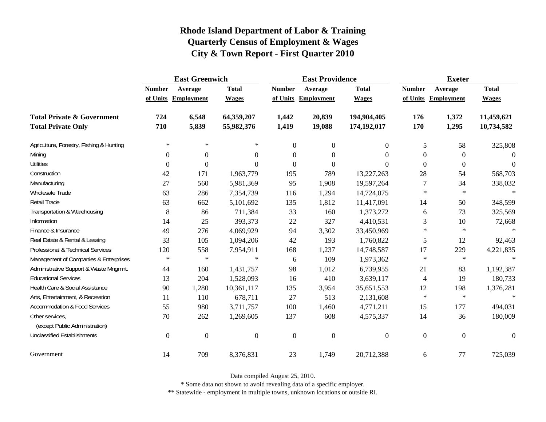|                                                   | <b>East Greenwich</b> |                     |                |                  | <b>East Providence</b> |                  | <b>Exeter</b>    |                     |                  |
|---------------------------------------------------|-----------------------|---------------------|----------------|------------------|------------------------|------------------|------------------|---------------------|------------------|
|                                                   | <b>Number</b>         | Average             | <b>Total</b>   | <b>Number</b>    | Average                | <b>Total</b>     | <b>Number</b>    | Average             | <b>Total</b>     |
|                                                   |                       | of Units Employment | <b>Wages</b>   |                  | of Units Employment    | <b>Wages</b>     |                  | of Units Employment | <b>Wages</b>     |
| <b>Total Private &amp; Government</b>             | 724                   | 6,548               | 64,359,207     | 1,442            | 20,839                 | 194,904,405      | 176              | 1,372               | 11,459,621       |
| <b>Total Private Only</b>                         | 710                   | 5,839               | 55,982,376     | 1,419            | 19,088                 | 174,192,017      | 170              | 1,295               | 10,734,582       |
| Agriculture, Forestry, Fishing & Hunting          | $\ast$                | $\ast$              | ∗              | $\overline{0}$   | $\overline{0}$         | $\overline{0}$   | 5                | 58                  | 325,808          |
| Mining                                            | $\theta$              | $\boldsymbol{0}$    | $\Omega$       | $\boldsymbol{0}$ | 0                      | $\Omega$         | $\theta$         | $\mathbf{0}$        | $\Omega$         |
| <b>Utilities</b>                                  | $\boldsymbol{0}$      | $\boldsymbol{0}$    | $\Omega$       | $\boldsymbol{0}$ | $\boldsymbol{0}$       | $\theta$         | $\overline{0}$   | $\boldsymbol{0}$    | $\mathbf{0}$     |
| Construction                                      | 42                    | 171                 | 1,963,779      | 195              | 789                    | 13,227,263       | 28               | 54                  | 568,703          |
| Manufacturing                                     | 27                    | 560                 | 5,981,369      | 95               | 1,908                  | 19,597,264       | 7                | 34                  | 338,032          |
| Wholesale Trade                                   | 63                    | 286                 | 7,354,739      | 116              | 1,294                  | 14,724,075       | $\ast$           | $\ast$              | $\ast$           |
| Retail Trade                                      | 63                    | 662                 | 5,101,692      | 135              | 1,812                  | 11,417,091       | 14               | 50                  | 348,599          |
| Transportation & Warehousing                      | $\,8\,$               | 86                  | 711,384        | 33               | 160                    | 1,373,272        | 6                | 73                  | 325,569          |
| Information                                       | 14                    | 25                  | 393,373        | 22               | 327                    | 4,410,531        | 3                | 10                  | 72,668           |
| Finance & Insurance                               | 49                    | 276                 | 4,069,929      | 94               | 3,302                  | 33,450,969       | $\ast$           | $\ast$              | $\ast$           |
| Real Estate & Rental & Leasing                    | 33                    | 105                 | 1,094,206      | 42               | 193                    | 1,760,822        | 5                | 12                  | 92,463           |
| Professional & Technical Services                 | 120                   | 558                 | 7,954,911      | 168              | 1,237                  | 14,748,587       | 17               | 229                 | 4,221,835        |
| Management of Companies & Enterprises             | $\ast$                | $\ast$              | $\ast$         | 6                | 109                    | 1,973,362        | $\ast$           | $\ast$              | $\star$          |
| Administrative Support & Waste Mngmnt.            | 44                    | 160                 | 1,431,757      | 98               | 1,012                  | 6,739,955        | 21               | 83                  | 1,192,387        |
| <b>Educational Services</b>                       | 13                    | 204                 | 1,528,093      | 16               | 410                    | 3,639,117        | $\overline{4}$   | 19                  | 180,733          |
| Health Care & Social Assistance                   | 90                    | 1,280               | 10,361,117     | 135              | 3,954                  | 35,651,553       | 12               | 198                 | 1,376,281        |
| Arts, Entertainment, & Recreation                 | 11                    | 110                 | 678,711        | 27               | 513                    | 2,131,608        | $\ast$           | $\ast$              | $\ast$           |
| <b>Accommodation &amp; Food Services</b>          | 55                    | 980                 | 3,711,757      | 100              | 1,460                  | 4,771,211        | 15               | 177                 | 494,031          |
| Other services,<br>(except Public Administration) | 70                    | 262                 | 1,269,605      | 137              | 608                    | 4,575,337        | 14               | 36                  | 180,009          |
| <b>Unclassified Establishments</b>                | $\boldsymbol{0}$      | $\boldsymbol{0}$    | $\overline{0}$ | $\boldsymbol{0}$ | $\boldsymbol{0}$       | $\boldsymbol{0}$ | $\boldsymbol{0}$ | $\boldsymbol{0}$    | $\boldsymbol{0}$ |
| Government                                        | 14                    | 709                 | 8,376,831      | 23               | 1,749                  | 20,712,388       | 6                | 77                  | 725,039          |

Data compiled August 25, 2010.

\* Some data not shown to avoid revealing data of a specific employer.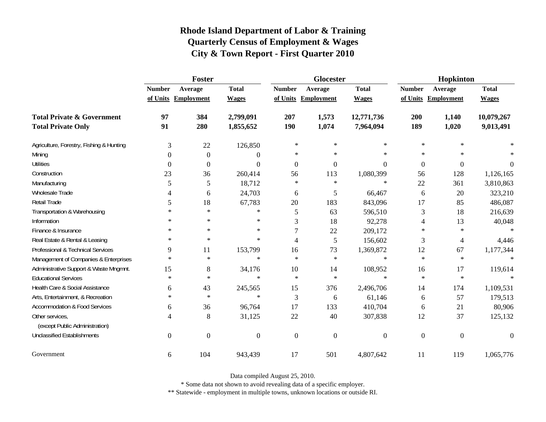|                                                   | Foster         |                     |                  |               | Glocester      |                  | Hopkinton        |                     |              |
|---------------------------------------------------|----------------|---------------------|------------------|---------------|----------------|------------------|------------------|---------------------|--------------|
|                                                   | <b>Number</b>  | Average             | <b>Total</b>     | <b>Number</b> | Average        | <b>Total</b>     | <b>Number</b>    | Average             | <b>Total</b> |
|                                                   |                | of Units Employment | <b>Wages</b>     | of Units      | Employment     | <b>Wages</b>     |                  | of Units Employment | <b>Wages</b> |
| <b>Total Private &amp; Government</b>             | 97             | 384                 | 2,799,091        | 207           | 1,573          | 12,771,736       | 200              | 1,140               | 10,079,267   |
| <b>Total Private Only</b>                         | 91             | 280                 | 1,855,652        | <b>190</b>    | 1,074          | 7,964,094        | 189              | 1,020               | 9,013,491    |
| Agriculture, Forestry, Fishing & Hunting          | 3              | 22                  | 126,850          | $\ast$        | $\ast$         | $\ast$           | $\ast$           | $\ast$              |              |
| Mining                                            | $\Omega$       | $\theta$            | 0                | $\ast$        | $\ast$         | $\ast$           | $\ast$           | $\ast$              |              |
| <b>Utilities</b>                                  | $\Omega$       | $\theta$            | 0                | $\theta$      | $\Omega$       | $\Omega$         | $\overline{0}$   | $\boldsymbol{0}$    | $\Omega$     |
| Construction                                      | 23             | 36                  | 260,414          | 56            | 113            | 1,080,399        | 56               | 128                 | 1,126,165    |
| Manufacturing                                     | 5              | 5                   | 18,712           | $\ast$        | $\ast$         | ∗                | 22               | 361                 | 3,810,863    |
| <b>Wholesale Trade</b>                            | 4              | 6                   | 24,703           | 6             | 5              | 66,467           | 6                | 20                  | 323,210      |
| Retail Trade                                      | 5              | 18                  | 67,783           | 20            | 183            | 843,096          | 17               | 85                  | 486,087      |
| Transportation & Warehousing                      | $\ast$         | $\ast$              | $\ast$           | 5             | 63             | 596,510          | 3                | 18                  | 216,639      |
| Information                                       | ∗              | $\ast$              | $\ast$           | 3             | 18             | 92,278           | 4                | 13                  | 40,048       |
| Finance & Insurance                               | ∗              | $\ast$              | $\ast$           |               | 22             | 209,172          | $\ast$           | $\ast$              |              |
| Real Estate & Rental & Leasing                    | $\ast$         | $\ast$              | $\ast$           | 4             | 5              | 156,602          | 3                | 4                   | 4,446        |
| Professional & Technical Services                 | 9              | 11                  | 153,799          | 16            | 73             | 1,369,872        | 12               | 67                  | 1,177,344    |
| Management of Companies & Enterprises             | $\ast$         | $\ast$              | $\ast$           | $\ast$        | $\ast$         | $\ast$           | $\ast$           | $\ast$              | $\ast$       |
| Administrative Support & Waste Mngmnt.            | 15             | 8                   | 34,176           | 10            | 14             | 108,952          | 16               | 17                  | 119,614      |
| <b>Educational Services</b>                       | $\ast$         | $\ast$              | $\ast$           | $\star$       | $\ast$         | $\ast$           | $\ast$           | $\ast$              |              |
| Health Care & Social Assistance                   | 6              | 43                  | 245,565          | 15            | 376            | 2,496,706        | 14               | 174                 | 1,109,531    |
| Arts, Entertainment, & Recreation                 | $\ast$         | $\ast$              | $\ast$           | 3             | 6              | 61,146           | 6                | 57                  | 179,513      |
| Accommodation & Food Services                     | 6              | 36                  | 96,764           | 17            | 133            | 410,704          | 6                | 21                  | 80,906       |
| Other services,<br>(except Public Administration) | 4              | 8                   | 31,125           | 22            | 40             | 307,838          | 12               | 37                  | 125,132      |
| <b>Unclassified Establishments</b>                | $\overline{0}$ | $\boldsymbol{0}$    | $\boldsymbol{0}$ | $\theta$      | $\overline{0}$ | $\boldsymbol{0}$ | $\boldsymbol{0}$ | $\boldsymbol{0}$    | $\theta$     |
| Government                                        | 6              | 104                 | 943,439          | 17            | 501            | 4,807,642        | 11               | 119                 | 1,065,776    |

Data compiled August 25, 2010.

\* Some data not shown to avoid revealing data of a specific employer.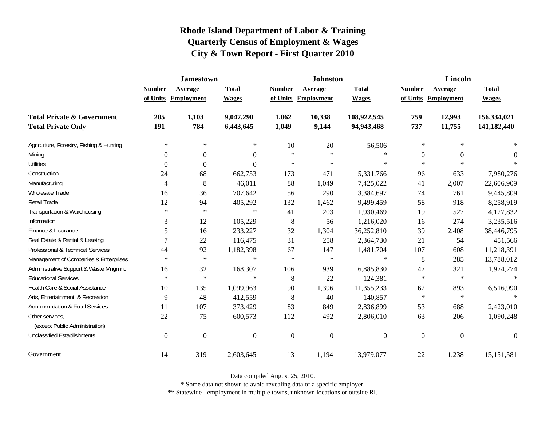|                                                   | <b>Jamestown</b> |                     |                  |                  | <b>Johnston</b>   |                  | <b>Lincoln</b>   |                     |                  |
|---------------------------------------------------|------------------|---------------------|------------------|------------------|-------------------|------------------|------------------|---------------------|------------------|
|                                                   | <b>Number</b>    | Average             | <b>Total</b>     | <b>Number</b>    | Average           | <b>Total</b>     | <b>Number</b>    | Average             | <b>Total</b>     |
|                                                   |                  | of Units Employment | <b>Wages</b>     | of Units         | <b>Employment</b> | <b>Wages</b>     |                  | of Units Employment | <b>Wages</b>     |
| <b>Total Private &amp; Government</b>             | 205              | 1,103               | 9,047,290        | 1,062            | 10,338            | 108,922,545      | 759              | 12,993              | 156,334,021      |
| <b>Total Private Only</b>                         | 191              | 784                 | 6,443,645        | 1,049            | 9,144             | 94,943,468       | 737              | 11,755              | 141,182,440      |
| Agriculture, Forestry, Fishing & Hunting          | $\ast$           | $\ast$              | $\ast$           | 10               | 20                | 56,506           | $\ast$           | $\ast$              |                  |
| Mining                                            | 0                | $\boldsymbol{0}$    | $\boldsymbol{0}$ | $\star$          | $\ast$            | $\ast$           | $\boldsymbol{0}$ | $\overline{0}$      | $\theta$         |
| <b>Utilities</b>                                  | 0                | $\Omega$            | $\Omega$         | $\star$          | $\ast$            | $\ast$           | $\ast$           | $\ast$              |                  |
| Construction                                      | 24               | 68                  | 662,753          | 173              | 471               | 5,331,766        | 96               | 633                 | 7,980,276        |
| Manufacturing                                     | 4                | 8                   | 46,011           | 88               | 1,049             | 7,425,022        | 41               | 2,007               | 22,606,909       |
| Wholesale Trade                                   | 16               | 36                  | 707,642          | 56               | 290               | 3,384,697        | 74               | 761                 | 9,445,809        |
| Retail Trade                                      | 12               | 94                  | 405,292          | 132              | 1,462             | 9,499,459        | 58               | 918                 | 8,258,919        |
| Transportation & Warehousing                      | $\ast$           | $\ast$              | $\ast$           | 41               | 203               | 1,930,469        | 19               | 527                 | 4,127,832        |
| Information                                       | 3                | 12                  | 105,229          | 8                | 56                | 1,216,020        | 16               | 274                 | 3,235,516        |
| Finance & Insurance                               | 5                | 16                  | 233,227          | $32\,$           | 1,304             | 36,252,810       | 39               | 2,408               | 38,446,795       |
| Real Estate & Rental & Leasing                    | 7                | 22                  | 116,475          | 31               | 258               | 2,364,730        | 21               | 54                  | 451,566          |
| Professional & Technical Services                 | 44               | 92                  | 1,182,398        | 67               | 147               | 1,481,704        | 107              | 608                 | 11,218,391       |
| Management of Companies & Enterprises             | $\ast$           | $\ast$              | $\ast$           | $\ast$           | $\ast$            | $\ast$           | $\,8\,$          | 285                 | 13,788,012       |
| Administrative Support & Waste Mngmnt.            | 16               | 32                  | 168,307          | 106              | 939               | 6,885,830        | 47               | 321                 | 1,974,274        |
| <b>Educational Services</b>                       | $\ast$           | $\ast$              | $\ast$           | 8                | 22                | 124,381          | $\ast$           | $\star$             |                  |
| Health Care & Social Assistance                   | 10               | 135                 | 1,099,963        | 90               | 1,396             | 11,355,233       | 62               | 893                 | 6,516,990        |
| Arts, Entertainment, & Recreation                 | 9                | 48                  | 412,559          | $\,8\,$          | 40                | 140,857          | $\ast$           | $\ast$              | $\ast$           |
| <b>Accommodation &amp; Food Services</b>          | 11               | 107                 | 373,429          | 83               | 849               | 2,836,899        | 53               | 688                 | 2,423,010        |
| Other services,<br>(except Public Administration) | 22               | 75                  | 600,573          | 112              | 492               | 2,806,010        | 63               | 206                 | 1,090,248        |
| <b>Unclassified Establishments</b>                | $\boldsymbol{0}$ | $\boldsymbol{0}$    | $\boldsymbol{0}$ | $\boldsymbol{0}$ | $\boldsymbol{0}$  | $\boldsymbol{0}$ | $\boldsymbol{0}$ | $\overline{0}$      | $\boldsymbol{0}$ |
| Government                                        | 14               | 319                 | 2,603,645        | 13               | 1,194             | 13,979,077       | 22               | 1,238               | 15, 151, 581     |

Data compiled August 25, 2010.

\* Some data not shown to avoid revealing data of a specific employer.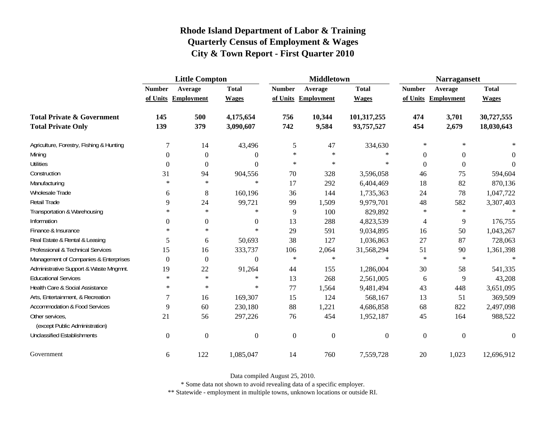|                                                   | <b>Little Compton</b> |                     |                |                  | <b>Middletown</b>   |                | <b>Narragansett</b> |                     |                  |
|---------------------------------------------------|-----------------------|---------------------|----------------|------------------|---------------------|----------------|---------------------|---------------------|------------------|
|                                                   | <b>Number</b>         | Average             | <b>Total</b>   | <b>Number</b>    | Average             | <b>Total</b>   | <b>Number</b>       | Average             | <b>Total</b>     |
|                                                   |                       | of Units Employment | <b>Wages</b>   |                  | of Units Employment | <b>Wages</b>   |                     | of Units Employment | <b>Wages</b>     |
| <b>Total Private &amp; Government</b>             | 145                   | 500                 | 4,175,654      | 756              | 10,344              | 101,317,255    | 474                 | 3,701               | 30,727,555       |
| <b>Total Private Only</b>                         | 139                   | 379                 | 3,090,607      | 742              | 9,584               | 93,757,527     | 454                 | 2,679               | 18,030,643       |
| Agriculture, Forestry, Fishing & Hunting          | 7                     | 14                  | 43,496         | 5                | 47                  | 334,630        | $\ast$              | $\ast$              |                  |
| Mining                                            | $\Omega$              | $\theta$            | 0              | $\ast$           | $\ast$              | $\ast$         | $\theta$            | $\mathbf{0}$        | $\Omega$         |
| <b>Utilities</b>                                  | $\boldsymbol{0}$      | $\boldsymbol{0}$    | $\Omega$       | $\ast$           | $\ast$              | $\ast$         | $\overline{0}$      | $\boldsymbol{0}$    | $\theta$         |
| Construction                                      | 31                    | 94                  | 904,556        | 70               | 328                 | 3,596,058      | 46                  | 75                  | 594,604          |
| Manufacturing                                     | $\ast$                | $\ast$              | $\ast$         | 17               | 292                 | 6,404,469      | 18                  | 82                  | 870,136          |
| Wholesale Trade                                   | 6                     | 8                   | 160,196        | 36               | 144                 | 1,735,363      | 24                  | 78                  | 1,047,722        |
| Retail Trade                                      | 9                     | 24                  | 99,721         | 99               | 1,509               | 9,979,701      | 48                  | 582                 | 3,307,403        |
| Transportation & Warehousing                      | $\ast$                | $\ast$              | $\ast$         | 9                | 100                 | 829,892        | $\ast$              | $\star$             | $\ast$           |
| Information                                       | $\Omega$              | $\boldsymbol{0}$    | $\mathbf{0}$   | 13               | 288                 | 4,823,539      | 4                   | 9                   | 176,755          |
| Finance & Insurance                               | $\ast$                | $\ast$              | $\ast$         | 29               | 591                 | 9,034,895      | 16                  | 50                  | 1,043,267        |
| Real Estate & Rental & Leasing                    | 5                     | 6                   | 50,693         | 38               | 127                 | 1,036,863      | 27                  | 87                  | 728,063          |
| Professional & Technical Services                 | 15                    | 16                  | 333,737        | 106              | 2,064               | 31,568,294     | 51                  | 90                  | 1,361,398        |
| Management of Companies & Enterprises             | $\Omega$              | $\boldsymbol{0}$    | $\Omega$       | $\ast$           | $\ast$              | $\ast$         | $\ast$              | $\ast$              | $\star$          |
| Administrative Support & Waste Mngmnt.            | 19                    | 22                  | 91,264         | 44               | 155                 | 1,286,004      | 30                  | 58                  | 541,335          |
| <b>Educational Services</b>                       | $\ast$                | $\ast$              | $\ast$         | 13               | 268                 | 2,561,005      | 6                   | 9                   | 43,208           |
| Health Care & Social Assistance                   | $\ast$                | $\ast$              | ∗              | 77               | 1,564               | 9,481,494      | 43                  | 448                 | 3,651,095        |
| Arts, Entertainment, & Recreation                 | 7                     | 16                  | 169,307        | 15               | 124                 | 568,167        | 13                  | 51                  | 369,509          |
| <b>Accommodation &amp; Food Services</b>          | 9                     | 60                  | 230,180        | 88               | 1,221               | 4,686,858      | 68                  | 822                 | 2,497,098        |
| Other services,<br>(except Public Administration) | 21                    | 56                  | 297,226        | 76               | 454                 | 1,952,187      | 45                  | 164                 | 988,522          |
| <b>Unclassified Establishments</b>                | $\boldsymbol{0}$      | $\boldsymbol{0}$    | $\overline{0}$ | $\boldsymbol{0}$ | $\boldsymbol{0}$    | $\overline{0}$ | $\boldsymbol{0}$    | $\boldsymbol{0}$    | $\boldsymbol{0}$ |
| Government                                        | 6                     | 122                 | 1,085,047      | 14               | 760                 | 7,559,728      | 20                  | 1,023               | 12,696,912       |

Data compiled August 25, 2010.

\* Some data not shown to avoid revealing data of a specific employer.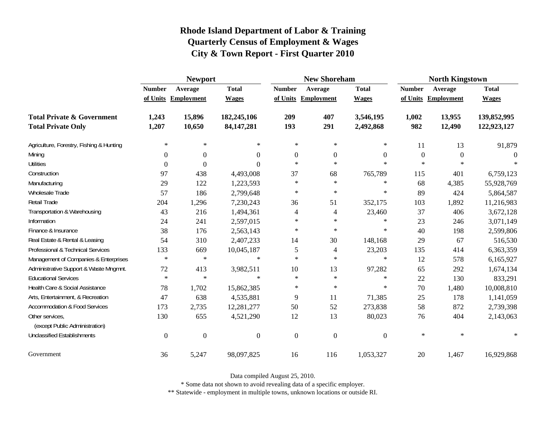|                                                   |                  | <b>Newport</b>      |                  |                  | <b>New Shoreham</b> |                  | <b>North Kingstown</b> |                     |              |
|---------------------------------------------------|------------------|---------------------|------------------|------------------|---------------------|------------------|------------------------|---------------------|--------------|
|                                                   | <b>Number</b>    | Average             | <b>Total</b>     | <b>Number</b>    | Average             | <b>Total</b>     | <b>Number</b>          | Average             | <b>Total</b> |
|                                                   |                  | of Units Employment | <b>Wages</b>     |                  | of Units Employment | <b>Wages</b>     |                        | of Units Employment | <b>Wages</b> |
| <b>Total Private &amp; Government</b>             | 1,243            | 15,896              | 182,245,106      | 209              | 407                 | 3,546,195        | 1,002                  | 13,955              | 139,852,995  |
| <b>Total Private Only</b>                         | 1,207            | 10,650              | 84, 147, 281     | 193              | 291                 | 2,492,868        | 982                    | 12,490              | 122,923,127  |
| Agriculture, Forestry, Fishing & Hunting          | $\ast$           | $\ast$              | $\ast$           | $\ast$           | $\ast$              | ∗                | 11                     | 13                  | 91,879       |
| Mining                                            | 0                | $\Omega$            | $\theta$         | $\overline{0}$   | $\Omega$            | $\overline{0}$   | $\boldsymbol{0}$       | $\theta$            | $\Omega$     |
| <b>Utilities</b>                                  | 0                | $\Omega$            | $\theta$         | $\star$          | $\ast$              | $\ast$           | $\ast$                 | $\star$             |              |
| Construction                                      | 97               | 438                 | 4,493,008        | 37               | 68                  | 765,789          | 115                    | 401                 | 6,759,123    |
| Manufacturing                                     | 29               | 122                 | 1,223,593        | $\ast$           | $\ast$              | ∗                | 68                     | 4,385               | 55,928,769   |
| Wholesale Trade                                   | 57               | 186                 | 2,799,648        | $\ast$           | $\ast$              | ∗                | 89                     | 424                 | 5,864,587    |
| Retail Trade                                      | 204              | 1,296               | 7,230,243        | 36               | 51                  | 352,175          | 103                    | 1,892               | 11,216,983   |
| Transportation & Warehousing                      | 43               | 216                 | 1,494,361        | 4                | 4                   | 23,460           | 37                     | 406                 | 3,672,128    |
| Information                                       | 24               | 241                 | 2,597,015        | $\ast$           | $\ast$              | ∗                | 23                     | 246                 | 3,071,149    |
| Finance & Insurance                               | 38               | 176                 | 2,563,143        | $\star$          | $\ast$              | ∗                | 40                     | 198                 | 2,599,806    |
| Real Estate & Rental & Leasing                    | 54               | 310                 | 2,407,233        | 14               | 30                  | 148,168          | 29                     | 67                  | 516,530      |
| Professional & Technical Services                 | 133              | 669                 | 10,045,187       | 5                | $\overline{4}$      | 23,203           | 135                    | 414                 | 6,363,359    |
| Management of Companies & Enterprises             | $\ast$           | $\ast$              | $\ast$           | $\ast$           | $\ast$              | $\ast$           | 12                     | 578                 | 6,165,927    |
| Administrative Support & Waste Mngmnt.            | 72               | 413                 | 3,982,511        | 10               | 13                  | 97,282           | 65                     | 292                 | 1,674,134    |
| <b>Educational Services</b>                       | $\ast$           | $\ast$              | $\ast$           | $\star$          | $\ast$              | $\ast$           | 22                     | 130                 | 833,291      |
| Health Care & Social Assistance                   | 78               | 1,702               | 15,862,385       | $\ast$           | $\ast$              | $\ast$           | 70                     | 1,480               | 10,008,810   |
| Arts, Entertainment, & Recreation                 | 47               | 638                 | 4,535,881        | 9                | 11                  | 71,385           | 25                     | 178                 | 1,141,059    |
| <b>Accommodation &amp; Food Services</b>          | 173              | 2,735               | 12,281,277       | 50               | 52                  | 273,838          | 58                     | 872                 | 2,739,398    |
| Other services,<br>(except Public Administration) | 130              | 655                 | 4,521,290        | 12               | 13                  | 80,023           | 76                     | 404                 | 2,143,063    |
| <b>Unclassified Establishments</b>                | $\boldsymbol{0}$ | $\boldsymbol{0}$    | $\boldsymbol{0}$ | $\boldsymbol{0}$ | $\boldsymbol{0}$    | $\boldsymbol{0}$ | $\ast$                 | $\ast$              | $\ast$       |
| Government                                        | 36               | 5,247               | 98,097,825       | 16               | 116                 | 1,053,327        | 20                     | 1,467               | 16,929,868   |

Data compiled August 25, 2010.

\* Some data not shown to avoid revealing data of a specific employer.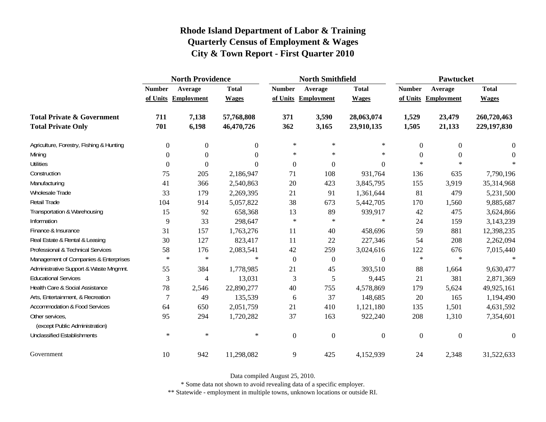|                                                   | <b>North Providence</b> |                     |                |                  | <b>North Smithfield</b> |                  | <b>Pawtucket</b> |                     |              |  |
|---------------------------------------------------|-------------------------|---------------------|----------------|------------------|-------------------------|------------------|------------------|---------------------|--------------|--|
|                                                   | <b>Number</b>           | Average             | <b>Total</b>   | <b>Number</b>    | Average                 | <b>Total</b>     | <b>Number</b>    | Average             | <b>Total</b> |  |
|                                                   |                         | of Units Employment | <b>Wages</b>   |                  | of Units Employment     | <b>Wages</b>     |                  | of Units Employment | <b>Wages</b> |  |
| <b>Total Private &amp; Government</b>             | 711                     | 7,138               | 57,768,808     | 371              | 3,590                   | 28,063,074       | 1,529            | 23,479              | 260,720,463  |  |
| <b>Total Private Only</b>                         | 701                     | 6,198               | 46,470,726     | 362              | 3,165                   | 23,910,135       | 1,505            | 21,133              | 229,197,830  |  |
| Agriculture, Forestry, Fishing & Hunting          | $\overline{0}$          | 0                   | $\overline{0}$ | $\ast$           | $\ast$                  | $\ast$           | $\overline{0}$   | $\overline{0}$      | 0            |  |
| Mining                                            | $\boldsymbol{0}$        | $\boldsymbol{0}$    | $\Omega$       | $\ast$           | $\ast$                  | $\ast$           | $\mathbf{0}$     | $\Omega$            | $\Omega$     |  |
| <b>Utilities</b>                                  | $\mathbf{0}$            | $\overline{0}$      | $\Omega$       | $\boldsymbol{0}$ | $\boldsymbol{0}$        | $\boldsymbol{0}$ | $*$              | $\ast$              |              |  |
| Construction                                      | 75                      | 205                 | 2,186,947      | 71               | 108                     | 931,764          | 136              | 635                 | 7,790,196    |  |
| Manufacturing                                     | 41                      | 366                 | 2,540,863      | 20               | 423                     | 3,845,795        | 155              | 3,919               | 35,314,968   |  |
| Wholesale Trade                                   | 33                      | 179                 | 2,269,395      | 21               | 91                      | 1,361,644        | 81               | 479                 | 5,231,500    |  |
| Retail Trade                                      | 104                     | 914                 | 5,057,822      | 38               | 673                     | 5,442,705        | 170              | 1,560               | 9,885,687    |  |
| Transportation & Warehousing                      | 15                      | 92                  | 658,368        | 13               | 89                      | 939,917          | 42               | 475                 | 3,624,866    |  |
| Information                                       | 9                       | 33                  | 298,647        | $\ast$           | ∗                       | $\ast$           | 24               | 159                 | 3,143,239    |  |
| Finance & Insurance                               | 31                      | 157                 | 1,763,276      | 11               | 40                      | 458,696          | 59               | 881                 | 12,398,235   |  |
| Real Estate & Rental & Leasing                    | 30                      | 127                 | 823,417        | 11               | 22                      | 227,346          | 54               | 208                 | 2,262,094    |  |
| Professional & Technical Services                 | 58                      | 176                 | 2,083,541      | 42               | 259                     | 3,024,616        | 122              | 676                 | 7,015,440    |  |
| Management of Companies & Enterprises             | $\ast$                  | $\ast$              | $\ast$         | $\overline{0}$   | $\boldsymbol{0}$        | $\boldsymbol{0}$ | $\ast$           | $\star$             | $\ast$       |  |
| Administrative Support & Waste Mngmnt.            | 55                      | 384                 | 1,778,985      | 21               | 45                      | 393,510          | 88               | 1,664               | 9,630,477    |  |
| <b>Educational Services</b>                       | 3                       | 4                   | 13,031         | 3                | 5                       | 9,445            | 21               | 381                 | 2,871,369    |  |
| Health Care & Social Assistance                   | 78                      | 2,546               | 22,890,277     | 40               | 755                     | 4,578,869        | 179              | 5,624               | 49,925,161   |  |
| Arts, Entertainment, & Recreation                 | 7                       | 49                  | 135,539        | 6                | 37                      | 148,685          | 20               | 165                 | 1,194,490    |  |
| <b>Accommodation &amp; Food Services</b>          | 64                      | 650                 | 2,051,759      | 21               | 410                     | 1,121,180        | 135              | 1,501               | 4,631,592    |  |
| Other services,<br>(except Public Administration) | 95                      | 294                 | 1,720,282      | 37               | 163                     | 922,240          | 208              | 1,310               | 7,354,601    |  |
| <b>Unclassified Establishments</b>                | $\ast$                  | $\ast$              | $\ast$         | $\mathbf{0}$     | $\mathbf{0}$            | $\boldsymbol{0}$ | $\theta$         | $\Omega$            | $\Omega$     |  |
| Government                                        | 10                      | 942                 | 11,298,082     | $\mathbf{9}$     | 425                     | 4,152,939        | 24               | 2,348               | 31,522,633   |  |

Data compiled August 25, 2010.

\* Some data not shown to avoid revealing data of a specific employer.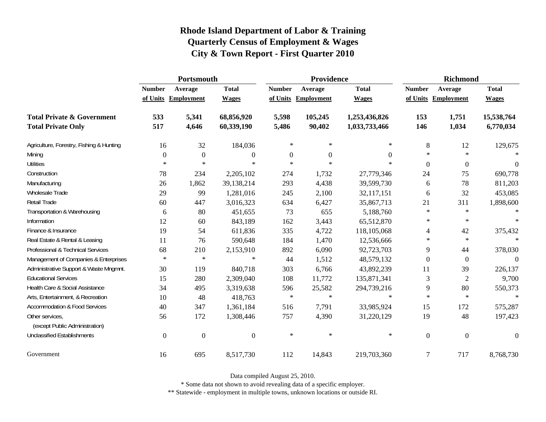|                                                   | Portsmouth     |                     |                  |                  | Providence          |               | <b>Richmond</b> |                     |                  |
|---------------------------------------------------|----------------|---------------------|------------------|------------------|---------------------|---------------|-----------------|---------------------|------------------|
|                                                   | <b>Number</b>  | Average             | <b>Total</b>     | <b>Number</b>    | Average             | <b>Total</b>  | <b>Number</b>   | Average             | <b>Total</b>     |
|                                                   |                | of Units Employment | <b>Wages</b>     |                  | of Units Employment | <b>Wages</b>  |                 | of Units Employment | <b>Wages</b>     |
| <b>Total Private &amp; Government</b>             | 533            | 5,341               | 68,856,920       | 5,598            | 105,245             | 1,253,436,826 | 153             | 1,751               | 15,538,764       |
| <b>Total Private Only</b>                         | 517            | 4,646               | 60,339,190       | 5,486            | 90,402              | 1,033,733,466 | 146             | 1,034               | 6,770,034        |
| Agriculture, Forestry, Fishing & Hunting          | 16             | 32                  | 184,036          | $\ast$           | $\ast$              | $\ast$        | 8               | 12                  | 129,675          |
| Mining                                            | $\theta$       | $\overline{0}$      | $\boldsymbol{0}$ | $\boldsymbol{0}$ | $\overline{0}$      | $\Omega$      | $\ast$          | $\star$             | $\ast$           |
| <b>Utilities</b>                                  | $\ast$         | $\star$             | $\ast$           | $\ast$           | $\ast$              | $\ast$        | $\Omega$        | $\boldsymbol{0}$    | $\boldsymbol{0}$ |
| Construction                                      | 78             | 234                 | 2,205,102        | 274              | 1,732               | 27,779,346    | 24              | 75                  | 690,778          |
| Manufacturing                                     | 26             | 1,862               | 39,138,214       | 293              | 4,438               | 39,599,730    | 6               | 78                  | 811,203          |
| Wholesale Trade                                   | 29             | 99                  | 1,281,016        | 245              | 2,100               | 32,117,151    | 6               | 32                  | 453,085          |
| Retail Trade                                      | 60             | 447                 | 3,016,323        | 634              | 6,427               | 35,867,713    | 21              | 311                 | 1,898,600        |
| Transportation & Warehousing                      | 6              | 80                  | 451,655          | 73               | 655                 | 5,188,760     | $\ast$          | $\ast$              | $\ast$           |
| Information                                       | 12             | 60                  | 843,189          | 162              | 3,443               | 65,512,870    | $\ast$          | $\ast$              | $\ast$           |
| Finance & Insurance                               | 19             | 54                  | 611,836          | 335              | 4,722               | 118,105,068   | 4               | 42                  | 375,432          |
| Real Estate & Rental & Leasing                    | 11             | 76                  | 590,648          | 184              | 1,470               | 12,536,666    | $\ast$          | $\ast$              | $\ast$           |
| Professional & Technical Services                 | 68             | 210                 | 2,153,910        | 892              | 6,090               | 92,723,703    | 9               | 44                  | 378,030          |
| Management of Companies & Enterprises             | $\ast$         | $\ast$              | $\ast$           | 44               | 1,512               | 48,579,132    | $\mathbf{0}$    | $\boldsymbol{0}$    | $\Omega$         |
| Administrative Support & Waste Mngmnt.            | 30             | 119                 | 840,718          | 303              | 6,766               | 43,892,239    | 11              | 39                  | 226,137          |
| <b>Educational Services</b>                       | 15             | 280                 | 2,309,040        | 108              | 11,772              | 135,871,341   | 3               | $\overline{2}$      | 9,700            |
| Health Care & Social Assistance                   | 34             | 495                 | 3,319,638        | 596              | 25,582              | 294,739,216   | 9               | 80                  | 550,373          |
| Arts, Entertainment, & Recreation                 | 10             | 48                  | 418,763          | $\ast$           | $\ast$              | $\ast$        | $\ast$          | $\ast$              | $\ast$           |
| <b>Accommodation &amp; Food Services</b>          | 40             | 347                 | 1,361,184        | 516              | 7,791               | 33,985,924    | 15              | 172                 | 575,287          |
| Other services,<br>(except Public Administration) | 56             | 172                 | 1,308,446        | 757              | 4,390               | 31,220,129    | 19              | 48                  | 197,423          |
| <b>Unclassified Establishments</b>                | $\overline{0}$ | $\boldsymbol{0}$    | $\boldsymbol{0}$ | $\ast$           | $\ast$              | $\ast$        | $\mathbf{0}$    | $\mathbf{0}$        | $\boldsymbol{0}$ |
| Government                                        | 16             | 695                 | 8,517,730        | 112              | 14,843              | 219,703,360   | $\overline{7}$  | 717                 | 8,768,730        |

Data compiled August 25, 2010.

\* Some data not shown to avoid revealing data of a specific employer.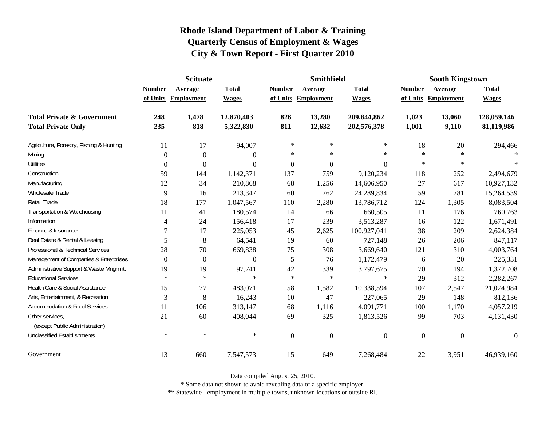|                                                   | <b>Scituate</b>  |                     |                  |                  | <b>Smithfield</b> |                  | <b>South Kingstown</b> |                   |                  |
|---------------------------------------------------|------------------|---------------------|------------------|------------------|-------------------|------------------|------------------------|-------------------|------------------|
|                                                   | <b>Number</b>    | Average             | <b>Total</b>     | <b>Number</b>    | Average           | <b>Total</b>     | <b>Number</b>          | Average           | <b>Total</b>     |
|                                                   |                  | of Units Employment | <b>Wages</b>     | of Units         | Employment        | <b>Wages</b>     | of Units               | <b>Employment</b> | <b>Wages</b>     |
| <b>Total Private &amp; Government</b>             | 248              | 1,478               | 12,870,403       | 826              | 13,280            | 209,844,862      | 1,023                  | 13,060            | 128,059,146      |
| <b>Total Private Only</b>                         | 235              | 818                 | 5,322,830        | 811              | 12,632            | 202,576,378      | 1,001                  | 9,110             | 81,119,986       |
| Agriculture, Forestry, Fishing & Hunting          | 11               | 17                  | 94,007           | $\ast$           | $\ast$            | $\ast$           | 18                     | 20                | 294,466          |
| Mining                                            | $\theta$         | $\overline{0}$      | $\boldsymbol{0}$ | $\ast$           | $\ast$            | $\ast$           | $\ast$                 | $\ast$            | $\star$          |
| <b>Utilities</b>                                  | $\boldsymbol{0}$ | $\Omega$            | $\overline{0}$   | $\boldsymbol{0}$ | $\boldsymbol{0}$  | $\boldsymbol{0}$ | $\ast$                 | $\ast$            | $\ast$           |
| Construction                                      | 59               | 144                 | 1,142,371        | 137              | 759               | 9,120,234        | 118                    | 252               | 2,494,679        |
| Manufacturing                                     | 12               | 34                  | 210,868          | 68               | 1,256             | 14,606,950       | 27                     | 617               | 10,927,132       |
| Wholesale Trade                                   | 9                | 16                  | 213,347          | 60               | 762               | 24,289,834       | 59                     | 781               | 15,264,539       |
| Retail Trade                                      | 18               | 177                 | 1,047,567        | 110              | 2,280             | 13,786,712       | 124                    | 1,305             | 8,083,504        |
| Transportation & Warehousing                      | 11               | 41                  | 180,574          | 14               | 66                | 660,505          | 11                     | 176               | 760,763          |
| Information                                       | $\overline{4}$   | 24                  | 156,418          | 17               | 239               | 3,513,287        | 16                     | 122               | 1,671,491        |
| Finance & Insurance                               | 7                | 17                  | 225,053          | 45               | 2,625             | 100,927,041      | 38                     | 209               | 2,624,384        |
| Real Estate & Rental & Leasing                    | 5                | 8                   | 64,541           | 19               | 60                | 727,148          | 26                     | 206               | 847,117          |
| Professional & Technical Services                 | 28               | 70                  | 669,838          | $75\,$           | 308               | 3,669,640        | 121                    | 310               | 4,003,764        |
| Management of Companies & Enterprises             | $\overline{0}$   | $\overline{0}$      | $\overline{0}$   | $\sqrt{5}$       | 76                | 1,172,479        | $\boldsymbol{6}$       | 20                | 225,331          |
| Administrative Support & Waste Mngmnt.            | 19               | 19                  | 97,741           | 42               | 339               | 3,797,675        | 70                     | 194               | 1,372,708        |
| <b>Educational Services</b>                       | $\ast$           | $\ast$              | $\ast$           | $\ast$           | $\ast$            | $\ast$           | 29                     | 312               | 2,282,267        |
| Health Care & Social Assistance                   | 15               | 77                  | 483,071          | 58               | 1,582             | 10,338,594       | 107                    | 2,547             | 21,024,984       |
| Arts, Entertainment, & Recreation                 | 3                | 8                   | 16,243           | 10               | 47                | 227,065          | 29                     | 148               | 812,136          |
| <b>Accommodation &amp; Food Services</b>          | 11               | 106                 | 313,147          | 68               | 1,116             | 4,091,771        | 100                    | 1,170             | 4,057,219        |
| Other services,<br>(except Public Administration) | 21               | 60                  | 408,044          | 69               | 325               | 1,813,526        | 99                     | 703               | 4,131,430        |
| <b>Unclassified Establishments</b>                | $\ast$           | $\ast$              | $\ast$           | $\boldsymbol{0}$ | $\boldsymbol{0}$  | $\boldsymbol{0}$ | $\boldsymbol{0}$       | $\boldsymbol{0}$  | $\boldsymbol{0}$ |
| Government                                        | 13               | 660                 | 7,547,573        | 15               | 649               | 7,268,484        | 22                     | 3,951             | 46,939,160       |

Data compiled August 25, 2010.

\* Some data not shown to avoid revealing data of a specific employer.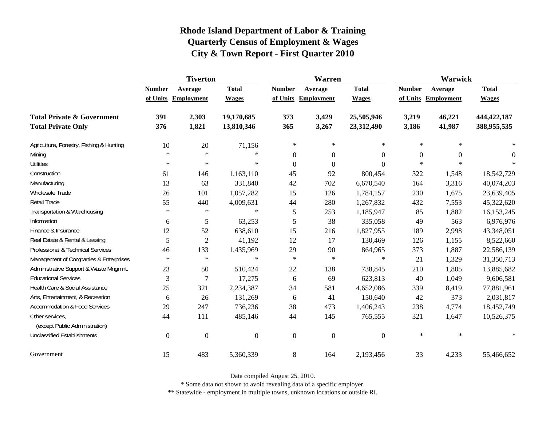|                                                   | <b>Tiverton</b>     |                  |              |                  | Warren              |                  | Warwick          |                |                  |
|---------------------------------------------------|---------------------|------------------|--------------|------------------|---------------------|------------------|------------------|----------------|------------------|
|                                                   | <b>Number</b>       | Average          | <b>Total</b> | <b>Number</b>    | Average             | <b>Total</b>     | <b>Number</b>    | Average        | <b>Total</b>     |
|                                                   | of Units Employment |                  | <b>Wages</b> |                  | of Units Employment | <b>Wages</b>     | of Units         | Employment     | <b>Wages</b>     |
| <b>Total Private &amp; Government</b>             | 391                 | 2,303            | 19,170,685   | 373              | 3,429               | 25,505,946       | 3,219            | 46,221         | 444,422,187      |
| <b>Total Private Only</b>                         | 376                 | 1,821            | 13,810,346   | 365              | 3,267               | 23,312,490       | 3,186            | 41,987         | 388,955,535      |
| Agriculture, Forestry, Fishing & Hunting          | 10                  | 20               | 71,156       | $\ast$           | $\ast$              | $\ast$           | $\ast$           | $\ast$         |                  |
| Mining                                            | $\ast$              | $\ast$           | $\ast$       | $\boldsymbol{0}$ | $\boldsymbol{0}$    | $\boldsymbol{0}$ | $\boldsymbol{0}$ | $\overline{0}$ | $\boldsymbol{0}$ |
| <b>Utilities</b>                                  | $\ast$              | $\ast$           | $\ast$       | $\boldsymbol{0}$ | $\mathbf{0}$        | $\boldsymbol{0}$ | $*$              | $\ast$         |                  |
| Construction                                      | 61                  | 146              | 1,163,110    | 45               | 92                  | 800,454          | 322              | 1,548          | 18,542,729       |
| Manufacturing                                     | 13                  | 63               | 331,840      | 42               | 702                 | 6,670,540        | 164              | 3,316          | 40,074,203       |
| Wholesale Trade                                   | 26                  | 101              | 1,057,282    | 15               | 126                 | 1,784,157        | 230              | 1,675          | 23,639,405       |
| Retail Trade                                      | 55                  | 440              | 4,009,631    | 44               | 280                 | 1,267,832        | 432              | 7,553          | 45,322,620       |
| Transportation & Warehousing                      | $\ast$              | $\ast$           | $\ast$       | 5                | 253                 | 1,185,947        | 85               | 1,882          | 16,153,245       |
| Information                                       | 6                   | 5                | 63,253       | 5                | 38                  | 335,058          | 49               | 563            | 6,976,976        |
| Finance & Insurance                               | 12                  | 52               | 638,610      | 15               | 216                 | 1,827,955        | 189              | 2,998          | 43,348,051       |
| Real Estate & Rental & Leasing                    | 5                   | $\overline{2}$   | 41,192       | 12               | 17                  | 130,469          | 126              | 1,155          | 8,522,660        |
| Professional & Technical Services                 | 46                  | 133              | 1,435,969    | 29               | 90                  | 864,965          | 373              | 1,887          | 22,586,139       |
| Management of Companies & Enterprises             | $\ast$              | $\ast$           | $\ast$       | $\ast$           | $\ast$              | $\ast$           | 21               | 1,329          | 31,350,713       |
| Administrative Support & Waste Mngmnt.            | 23                  | 50               | 510,424      | 22               | 138                 | 738,845          | 210              | 1,805          | 13,885,682       |
| <b>Educational Services</b>                       | 3                   | 7                | 17,275       | 6                | 69                  | 623,813          | 40               | 1,049          | 9,606,581        |
| Health Care & Social Assistance                   | 25                  | 321              | 2,234,387    | 34               | 581                 | 4,652,086        | 339              | 8,419          | 77,881,961       |
| Arts, Entertainment, & Recreation                 | 6                   | 26               | 131,269      | 6                | 41                  | 150,640          | 42               | 373            | 2,031,817        |
| <b>Accommodation &amp; Food Services</b>          | 29                  | 247              | 736,236      | 38               | 473                 | 1,406,243        | 238              | 4,774          | 18,452,749       |
| Other services,<br>(except Public Administration) | 44                  | 111              | 485,146      | 44               | 145                 | 765,555          | 321              | 1,647          | 10,526,375       |
| <b>Unclassified Establishments</b>                | $\boldsymbol{0}$    | $\boldsymbol{0}$ | $\mathbf{0}$ | $\boldsymbol{0}$ | $\mathbf{0}$        | $\boldsymbol{0}$ | $\ast$           | $\ast$         | $\ast$           |
| Government                                        | 15                  | 483              | 5,360,339    | 8                | 164                 | 2,193,456        | 33               | 4,233          | 55,466,652       |

Data compiled August 25, 2010.

\* Some data not shown to avoid revealing data of a specific employer.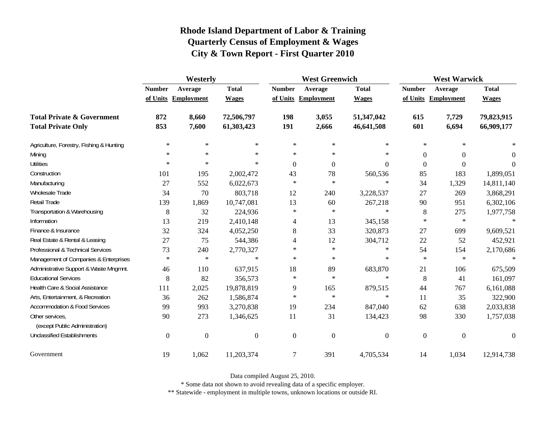|                                                   | Westerly         |                     |                  | <b>West Greenwich</b> |                     |                  | <b>West Warwick</b> |                     |              |
|---------------------------------------------------|------------------|---------------------|------------------|-----------------------|---------------------|------------------|---------------------|---------------------|--------------|
|                                                   | <b>Number</b>    | Average             | <b>Total</b>     | <b>Number</b>         | Average             | <b>Total</b>     | <b>Number</b>       | Average             | <b>Total</b> |
|                                                   |                  | of Units Employment | <b>Wages</b>     |                       | of Units Employment | <b>Wages</b>     |                     | of Units Employment | <b>Wages</b> |
| <b>Total Private &amp; Government</b>             | 872              | 8,660               | 72,506,797       | 198                   | 3,055               | 51,347,042       | 615                 | 7,729               | 79,823,915   |
| <b>Total Private Only</b>                         | 853              | 7,600               | 61,303,423       | 191                   | 2,666               | 46,641,508       | 601                 | 6,694               | 66,909,177   |
| Agriculture, Forestry, Fishing & Hunting          | $\ast$           | $\ast$              | $\ast$           | $\ast$                | $\ast$              | $*$              | $\ast$              | $\ast$              |              |
| Mining                                            | $\ast$           | $\ast$              | $\ast$           | $\ast$                | $\ast$              | $\ast$           | $\theta$            | $\boldsymbol{0}$    | $\theta$     |
| <b>Utilities</b>                                  | $\ast$           | $\ast$              | $\ast$           | $\boldsymbol{0}$      | $\Omega$            | $\Omega$         | $\theta$            | $\boldsymbol{0}$    | $\Omega$     |
| Construction                                      | 101              | 195                 | 2,002,472        | 43                    | 78                  | 560,536          | 85                  | 183                 | 1,899,051    |
| Manufacturing                                     | 27               | 552                 | 6,022,673        | $\ast$                | $\ast$              | $\ast$           | 34                  | 1,329               | 14,811,140   |
| Wholesale Trade                                   | 34               | 70                  | 803,718          | 12                    | 240                 | 3,228,537        | 27                  | 269                 | 3,868,291    |
| <b>Retail Trade</b>                               | 139              | 1,869               | 10,747,081       | 13                    | 60                  | 267,218          | 90                  | 951                 | 6,302,106    |
| Transportation & Warehousing                      | 8                | 32                  | 224,936          | $\ast$                | $\ast$              | $\ast$           | 8                   | 275                 | 1,977,758    |
| Information                                       | 13               | 219                 | 2,410,148        | 4                     | 13                  | 345,158          | $\ast$              | $\ast$              | $\ast$       |
| Finance & Insurance                               | 32               | 324                 | 4,052,250        | 8                     | 33                  | 320,873          | $27\,$              | 699                 | 9,609,521    |
| Real Estate & Rental & Leasing                    | 27               | 75                  | 544,386          | 4                     | 12                  | 304,712          | 22                  | 52                  | 452,921      |
| Professional & Technical Services                 | 73               | 240                 | 2,770,327        | $\ast$                | $\ast$              | $\ast$           | 54                  | 154                 | 2,170,686    |
| Management of Companies & Enterprises             | $\ast$           | $\ast$              | $\ast$           | $\ast$                | $\ast$              | $\ast$           | $\ast$              | $\ast$              | $\ast$       |
| Administrative Support & Waste Mngmnt.            | 46               | 110                 | 637,915          | 18                    | 89                  | 683,870          | 21                  | 106                 | 675,509      |
| <b>Educational Services</b>                       | 8                | 82                  | 356,573          | $\ast$                | $\ast$              | $\ast$           | 8                   | 41                  | 161,097      |
| Health Care & Social Assistance                   | 111              | 2,025               | 19,878,819       | 9                     | 165                 | 879,515          | 44                  | 767                 | 6,161,088    |
| Arts, Entertainment, & Recreation                 | 36               | 262                 | 1,586,874        | $\ast$                | $\ast$              | $\ast$           | 11                  | 35                  | 322,900      |
| <b>Accommodation &amp; Food Services</b>          | 99               | 993                 | 3,270,838        | 19                    | 234                 | 847,040          | 62                  | 638                 | 2,033,838    |
| Other services,<br>(except Public Administration) | 90               | 273                 | 1,346,625        | 11                    | 31                  | 134,423          | 98                  | 330                 | 1,757,038    |
| <b>Unclassified Establishments</b>                | $\boldsymbol{0}$ | $\boldsymbol{0}$    | $\boldsymbol{0}$ | $\boldsymbol{0}$      | $\boldsymbol{0}$    | $\boldsymbol{0}$ | $\mathbf{0}$        | $\boldsymbol{0}$    | $\Omega$     |
| Government                                        | 19               | 1,062               | 11,203,374       | $\overline{7}$        | 391                 | 4,705,534        | 14                  | 1,034               | 12,914,738   |

Data compiled August 25, 2010.

\* Some data not shown to avoid revealing data of a specific employer.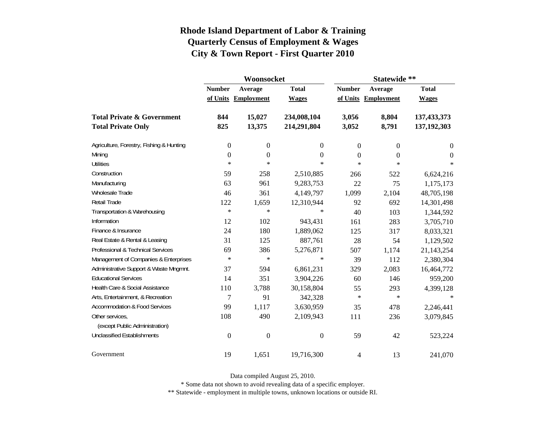|                                          |                  | Woonsocket        |                  | Statewide **   |                   |                  |  |
|------------------------------------------|------------------|-------------------|------------------|----------------|-------------------|------------------|--|
|                                          | <b>Number</b>    | Average           | <b>Total</b>     | <b>Number</b>  | Average           | <b>Total</b>     |  |
|                                          | of Units         | <b>Employment</b> | <b>Wages</b>     | of Units       | <b>Employment</b> | <b>Wages</b>     |  |
| <b>Total Private &amp; Government</b>    | 844              | 15,027            | 234,008,104      | 3,056          | 8,804             | 137,433,373      |  |
| <b>Total Private Only</b>                | 825              | 13,375            | 214,291,804      | 3,052          | 8,791             | 137,192,303      |  |
| Agriculture, Forestry, Fishing & Hunting | $\boldsymbol{0}$ | $\boldsymbol{0}$  | 0                | $\overline{0}$ | $\overline{0}$    | $\boldsymbol{0}$ |  |
| Mining                                   | $\boldsymbol{0}$ | $\boldsymbol{0}$  | 0                | $\overline{0}$ | 0                 | 0                |  |
| <b>Utilities</b>                         | $\ast$           | $\ast$            | $\ast$           | $\ast$         | $\ast$            | $\ast$           |  |
| Construction                             | 59               | 258               | 2,510,885        | 266            | 522               | 6,624,216        |  |
| Manufacturing                            | 63               | 961               | 9,283,753        | 22             | 75                | 1,175,173        |  |
| Wholesale Trade                          | 46               | 361               | 4,149,797        | 1,099          | 2,104             | 48,705,198       |  |
| <b>Retail Trade</b>                      | 122              | 1,659             | 12,310,944       | 92             | 692               | 14,301,498       |  |
| Transportation & Warehousing             | $\ast$           | $\ast$            | $\ast$           | 40             | 103               | 1,344,592        |  |
| Information                              | 12               | 102               | 943,431          | 161            | 283               | 3,705,710        |  |
| Finance & Insurance                      | 24               | 180               | 1,889,062        | 125            | 317               | 8,033,321        |  |
| Real Estate & Rental & Leasing           | 31               | 125               | 887,761          | 28             | 54                | 1,129,502        |  |
| Professional & Technical Services        | 69               | 386               | 5,276,871        | 507            | 1,174             | 21,143,254       |  |
| Management of Companies & Enterprises    | $\ast$           | $\ast$            | $\ast$           | 39             | 112               | 2,380,304        |  |
| Administrative Support & Waste Mngmnt.   | 37               | 594               | 6,861,231        | 329            | 2,083             | 16,464,772       |  |
| <b>Educational Services</b>              | 14               | 351               | 3,904,226        | 60             | 146               | 959,200          |  |
| Health Care & Social Assistance          | 110              | 3,788             | 30,158,804       | 55             | 293               | 4,399,128        |  |
| Arts, Entertainment, & Recreation        | $\overline{7}$   | 91                | 342,328          | $\ast$         | $\ast$            | $\ast$           |  |
| <b>Accommodation &amp; Food Services</b> | 99               | 1,117             | 3,630,959        | 35             | 478               | 2,246,441        |  |
| Other services,                          | 108              | 490               | 2,109,943        | 111            | 236               | 3,079,845        |  |
| (except Public Administration)           |                  |                   |                  |                |                   |                  |  |
| <b>Unclassified Establishments</b>       | $\boldsymbol{0}$ | $\boldsymbol{0}$  | $\boldsymbol{0}$ | 59             | 42                | 523,224          |  |
| Government                               | 19               | 1,651             | 19,716,300       | 4              | 13                | 241,070          |  |

Data compiled August 25, 2010.

\* Some data not shown to avoid revealing data of a specific employer.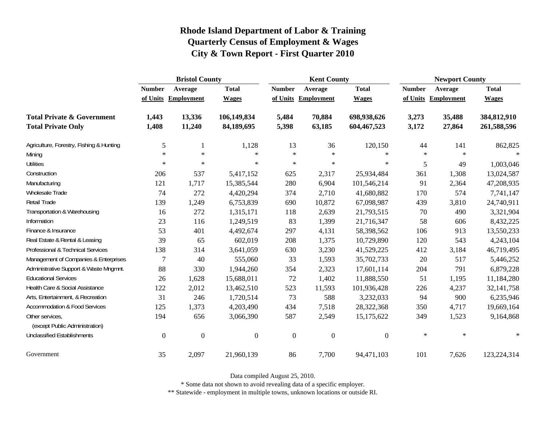|                                                   | <b>Bristol County</b> |                     |                |                  | <b>Kent County</b>  |                  |               | <b>Newport County</b> |              |  |
|---------------------------------------------------|-----------------------|---------------------|----------------|------------------|---------------------|------------------|---------------|-----------------------|--------------|--|
|                                                   | <b>Number</b>         | Average             | <b>Total</b>   | <b>Number</b>    | Average             | <b>Total</b>     | <b>Number</b> | Average               | <b>Total</b> |  |
|                                                   |                       | of Units Employment | <b>Wages</b>   |                  | of Units Employment | <b>Wages</b>     |               | of Units Employment   | <b>Wages</b> |  |
| <b>Total Private &amp; Government</b>             | 1,443                 | 13,336              | 106,149,834    | 5,484            | 70,884              | 698,938,626      | 3,273         | 35,488                | 384,812,910  |  |
| <b>Total Private Only</b>                         | 1,408                 | 11,240              | 84,189,695     | 5,398            | 63,185              | 604,467,523      | 3,172         | 27,864                | 261,588,596  |  |
| Agriculture, Forestry, Fishing & Hunting          | 5                     |                     | 1,128          | 13               | 36                  | 120,150          | 44            | 141                   | 862,825      |  |
| Mining                                            | $\ast$                | $\star$             | $\ast$         | $\star$          | $\ast$              | $\ast$           | $\ast$        | $\ast$                | $\star$      |  |
| <b>Utilities</b>                                  | $\ast$                | $\ast$              | $\ast$         | $\star$          | $\ast$              | $\ast$           | 5             | 49                    | 1,003,046    |  |
| Construction                                      | 206                   | 537                 | 5,417,152      | 625              | 2,317               | 25,934,484       | 361           | 1,308                 | 13,024,587   |  |
| Manufacturing                                     | 121                   | 1,717               | 15,385,544     | 280              | 6,904               | 101,546,214      | 91            | 2,364                 | 47,208,935   |  |
| Wholesale Trade                                   | 74                    | 272                 | 4,420,294      | 374              | 2,710               | 41,680,882       | 170           | 574                   | 7,741,147    |  |
| <b>Retail Trade</b>                               | 139                   | 1,249               | 6,753,839      | 690              | 10,872              | 67,098,987       | 439           | 3,810                 | 24,740,911   |  |
| Transportation & Warehousing                      | 16                    | 272                 | 1,315,171      | 118              | 2,639               | 21,793,515       | 70            | 490                   | 3,321,904    |  |
| Information                                       | 23                    | 116                 | 1,249,519      | 83               | 1,399               | 21,716,347       | 58            | 606                   | 8,432,225    |  |
| Finance & Insurance                               | 53                    | 401                 | 4,492,674      | 297              | 4,131               | 58,398,562       | 106           | 913                   | 13,550,233   |  |
| Real Estate & Rental & Leasing                    | 39                    | 65                  | 602,019        | 208              | 1,375               | 10,729,890       | 120           | 543                   | 4,243,104    |  |
| Professional & Technical Services                 | 138                   | 314                 | 3,641,059      | 630              | 3,230               | 41,529,225       | 412           | 3,184                 | 46,719,495   |  |
| Management of Companies & Enterprises             | 7                     | 40                  | 555,060        | 33               | 1,593               | 35,702,733       | 20            | 517                   | 5,446,252    |  |
| Administrative Support & Waste Mngmnt.            | 88                    | 330                 | 1,944,260      | 354              | 2,323               | 17,601,114       | 204           | 791                   | 6,879,228    |  |
| <b>Educational Services</b>                       | 26                    | 1,628               | 15,688,011     | 72               | 1,402               | 11,888,550       | 51            | 1,195                 | 11,184,280   |  |
| Health Care & Social Assistance                   | 122                   | 2,012               | 13,462,510     | 523              | 11,593              | 101,936,428      | 226           | 4,237                 | 32, 141, 758 |  |
| Arts, Entertainment, & Recreation                 | 31                    | 246                 | 1,720,514      | 73               | 588                 | 3,232,033        | 94            | 900                   | 6,235,946    |  |
| <b>Accommodation &amp; Food Services</b>          | 125                   | 1,373               | 4,203,490      | 434              | 7,518               | 28,322,368       | 350           | 4,717                 | 19,669,164   |  |
| Other services,<br>(except Public Administration) | 194                   | 656                 | 3,066,390      | 587              | 2,549               | 15,175,622       | 349           | 1,523                 | 9,164,868    |  |
| <b>Unclassified Establishments</b>                | $\overline{0}$        | $\boldsymbol{0}$    | $\overline{0}$ | $\boldsymbol{0}$ | $\boldsymbol{0}$    | $\boldsymbol{0}$ | $\ast$        | $\ast$                | $\ast$       |  |
| Government                                        | 35                    | 2,097               | 21,960,139     | 86               | 7,700               | 94,471,103       | 101           | 7,626                 | 123,224,314  |  |

Data compiled August 25, 2010.

\* Some data not shown to avoid revealing data of a specific employer.